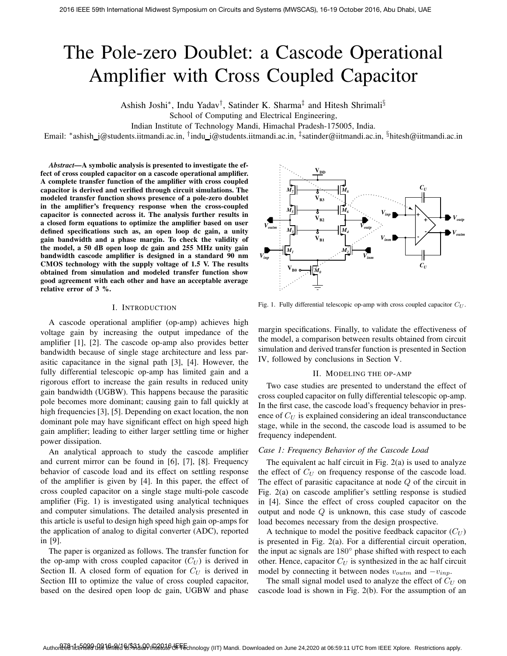# The Pole-zero Doublet: a Cascode Operational Amplifier with Cross Coupled Capacitor

Ashish Joshi<sup>∗</sup>, Indu Yadav<sup>†</sup>, Satinder K. Sharma<sup>‡</sup> and Hitesh Shrimali<sup>§</sup>

School of Computing and Electrical Engineering,

Indian Institute of Technology Mandi, Himachal Pradesh-175005, India.

Email: \*ashish\_j@students.iitmandi.ac.in, <sup>†</sup>indu\_i@students.iitmandi.ac.in, <sup>‡</sup>satinder@iitmandi.ac.in, <sup>§</sup>hitesh@iitmandi.ac.in

*Abstract***—A symbolic analysis is presented to investigate the effect of cross coupled capacitor on a cascode operational amplifier. A complete transfer function of the amplifier with cross coupled capacitor is derived and verified through circuit simulations. The modeled transfer function shows presence of a pole-zero doublet in the amplifier's frequency response when the cross-coupled capacitor is connected across it. The analysis further results in a closed form equations to optimize the amplifier based on user defined specifications such as, an open loop dc gain, a unity gain bandwidth and a phase margin. To check the validity of the model, a 50 dB open loop dc gain and 255 MHz unity gain bandwidth cascode amplifier is designed in a standard 90 nm CMOS technology with the supply voltage of 1.5 V. The results obtained from simulation and modeled transfer function show good agreement with each other and have an acceptable average relative error of 3 %.**

#### I. INTRODUCTION

A cascode operational amplifier (op-amp) achieves high voltage gain by increasing the output impedance of the amplifier [1], [2]. The cascode op-amp also provides better bandwidth because of single stage architecture and less parasitic capacitance in the signal path [3], [4]. However, the fully differential telescopic op-amp has limited gain and a rigorous effort to increase the gain results in reduced unity gain bandwidth (UGBW). This happens because the parasitic pole becomes more dominant; causing gain to fall quickly at high frequencies [3], [5]. Depending on exact location, the non dominant pole may have significant effect on high speed high gain amplifier; leading to either larger settling time or higher power dissipation.

An analytical approach to study the cascode amplifier and current mirror can be found in [6], [7], [8]. Frequency behavior of cascode load and its effect on settling response of the amplifier is given by [4]. In this paper, the effect of cross coupled capacitor on a single stage multi-pole cascode amplifier (Fig. 1) is investigated using analytical techniques and computer simulations. The detailed analysis presented in this article is useful to design high speed high gain op-amps for the application of analog to digital converter (ADC), reported in [9].

The paper is organized as follows. The transfer function for the op-amp with cross coupled capacitor  $(C_U)$  is derived in Section II. A closed form of equation for  $C_U$  is derived in Section III to optimize the value of cross coupled capacitor, based on the desired open loop dc gain, UGBW and phase



Fig. 1. Fully differential telescopic op-amp with cross coupled capacitor  $C_U$ .

margin specifications. Finally, to validate the effectiveness of the model, a comparison between results obtained from circuit simulation and derived transfer function is presented in Section IV, followed by conclusions in Section V.

## II. MODELING THE OP-AMP

Two case studies are presented to understand the effect of cross coupled capacitor on fully differential telescopic op-amp. In the first case, the cascode load's frequency behavior in presence of  $C_U$  is explained considering an ideal transconductance stage, while in the second, the cascode load is assumed to be frequency independent.

## *Case 1: Frequency Behavior of the Cascode Load*

The equivalent ac half circuit in Fig. 2(a) is used to analyze the effect of  $C_U$  on frequency response of the cascode load. The effect of parasitic capacitance at node Q of the circuit in Fig. 2(a) on cascode amplifier's settling response is studied in [4]. Since the effect of cross coupled capacitor on the output and node Q is unknown, this case study of cascode load becomes necessary from the design prospective.

A technique to model the positive feedback capacitor  $(C_U)$ is presented in Fig. 2(a). For a differential circuit operation, the input ac signals are 180◦ phase shifted with respect to each other. Hence, capacitor  $C_U$  is synthesized in the ac half circuit model by connecting it between nodes  $v_{outm}$  and  $-v_{inp}$ .

The small signal model used to analyze the effect of  $C_U$  on cascode load is shown in Fig. 2(b). For the assumption of an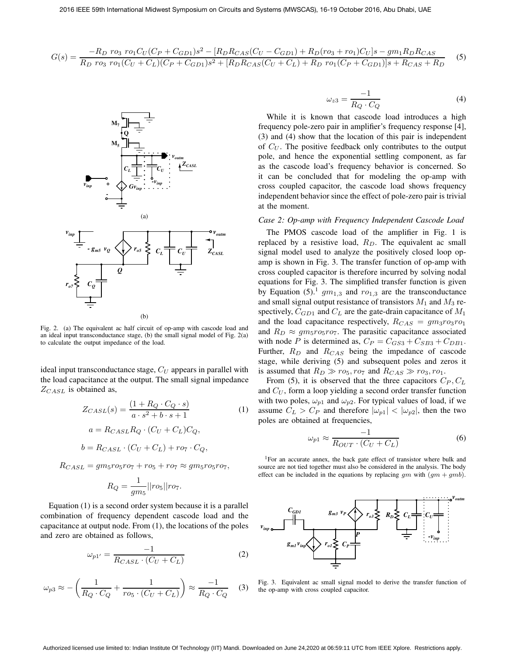$$
G(s) = \frac{-R_D \ r o_3 \ r o_1 C_U (C_P + C_{GD1}) s^2 - [R_D R_{CAS} (C_U - C_{GD1}) + R_D (r o_3 + r o_1) C_U] s - g m_1 R_D R_{CAS}}{R_D \ r o_3 \ r o_1 (C_U + C_L) (C_P + C_{GD1}) s^2 + [R_D R_{CAS} (C_U + C_L) + R_D \ r o_1 (C_P + C_{GD1})] s + R_{CAS} + R_D} \tag{5}
$$



Fig. 2. (a) The equivalent ac half circuit of op-amp with cascode load and an ideal input transconductance stage, (b) the small signal model of Fig. 2(a) to calculate the output impedance of the load.

ideal input transconductance stage,  $C_U$  appears in parallel with the load capacitance at the output. The small signal impedance  $Z_{CASL}$  is obtained as,

$$
Z_{CASL}(s) = \frac{(1 + R_Q \cdot C_Q \cdot s)}{a \cdot s^2 + b \cdot s + 1}
$$
(1)  

$$
a = R_{CASL} R_Q \cdot (C_U + C_L) C_Q,
$$
  

$$
b = R_{CASL} \cdot (C_U + C_L) + r o_7 \cdot C_Q,
$$

$$
R_{CASL} = gm_5r o_5r o_7 + ro_5 + ro_7 \approx gm_5r o_5r o_7,
$$

$$
R_Q = \frac{1}{gm_5} ||ro_5|| ro_7.
$$

Equation (1) is a second order system because it is a parallel combination of frequency dependent cascode load and the capacitance at output node. From (1), the locations of the poles and zero are obtained as follows,

$$
\omega_{p1'} = \frac{-1}{R_{CASL} \cdot (C_U + C_L)}\tag{2}
$$

$$
\omega_{p3} \approx -\left(\frac{1}{R_Q \cdot C_Q} + \frac{1}{r o_5 \cdot (C_U + C_L)}\right) \approx \frac{-1}{R_Q \cdot C_Q} \quad (3)
$$

$$
\omega_{z3} = \frac{-1}{R_Q \cdot C_Q} \tag{4}
$$

While it is known that cascode load introduces a high frequency pole-zero pair in amplifier's frequency response [4], (3) and (4) show that the location of this pair is independent of  $C_U$ . The positive feedback only contributes to the output pole, and hence the exponential settling component, as far as the cascode load's frequency behavior is concerned. So it can be concluded that for modeling the op-amp with cross coupled capacitor, the cascode load shows frequency independent behavior since the effect of pole-zero pair is trivial at the moment.

## *Case 2: Op-amp with Frequency Independent Cascode Load*

The PMOS cascode load of the amplifier in Fig. 1 is replaced by a resistive load,  $R_D$ . The equivalent ac small signal model used to analyze the positively closed loop opamp is shown in Fig. 3. The transfer function of op-amp with cross coupled capacitor is therefore incurred by solving nodal equations for Fig. 3. The simplified transfer function is given by Equation (5).<sup>1</sup>  $gm_{1,3}$  and  $ro_{1,3}$  are the transconductance and small signal output resistance of transistors  $M_1$  and  $M_3$  respectively,  $C_{GD1}$  and  $C_L$  are the gate-drain capacitance of  $M_1$ and the load capacitance respectively,  $R_{CAS} = gm_3 ro_3 ro_1$ and  $R_D \approx g m_5 r o_5 r o_7$ . The parasitic capacitance associated with node P is determined as,  $C_P = C_{GS3} + C_{SB3} + C_{DB1}$ . Further,  $R_D$  and  $R_{CAS}$  being the impedance of cascode stage, while deriving (5) and subsequent poles and zeros it is assumed that  $R_D \gg r o_5, r o_7$  and  $R_{CAS} \gg r o_3, r o_1$ .

From (5), it is observed that the three capacitors  $C_P$ ,  $C_L$ and  $C_U$ , form a loop yielding a second order transfer function with two poles,  $\omega_{p1}$  and  $\omega_{p2}$ . For typical values of load, if we assume  $C_L > C_P$  and therefore  $|\omega_{p1}| < |\omega_{p2}|$ , then the two poles are obtained at frequencies,

$$
\omega_{p1} \approx \frac{-1}{R_{OUT} \cdot (C_U + C_L)}\tag{6}
$$

<sup>1</sup>For an accurate annex, the back gate effect of transistor where bulk and source are not tied together must also be considered in the analysis. The body effect can be included in the equations by replacing  $qm$  with  $(qm + qmb)$ .



Fig. 3. Equivalent ac small signal model to derive the transfer function of the op-amp with cross coupled capacitor.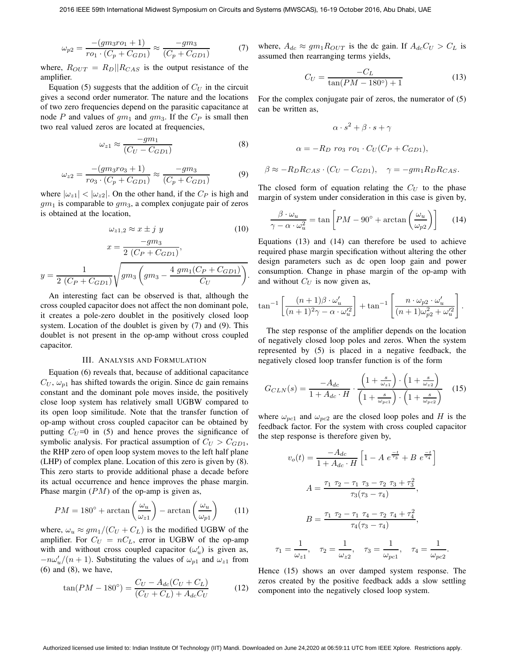$$
\omega_{p2} = \frac{-(gm_3ro_1 + 1)}{ro_1 \cdot (C_p + C_{GD1})} \approx \frac{-gm_3}{(C_p + C_{GD1})}
$$
(7)

where,  $R_{OUT} = R_D || R_{CAS}$  is the output resistance of the amplifier.

Equation (5) suggests that the addition of  $C_U$  in the circuit gives a second order numerator. The nature and the locations of two zero frequencies depend on the parasitic capacitance at node P and values of  $qm_1$  and  $qm_3$ . If the  $C_P$  is small then two real valued zeros are located at frequencies,

$$
\omega_{z1} \approx \frac{-gm_1}{(C_U - C_{GD1})} \tag{8}
$$

$$
\omega_{z2} = \frac{-(gm_3 \cdot r_{03} + 1)}{r_{03} \cdot (C_p + C_{GD1})} \approx \frac{-gm_3}{(C_p + C_{GD1})}
$$
(9)

where  $|\omega_{z1}| < |\omega_{z2}|$ . On the other hand, if the  $C_P$  is high and  $gm<sub>1</sub>$  is comparable to  $gm<sub>3</sub>$ , a complex conjugate pair of zeros is obtained at the location,

$$
\omega_{z1,2} \approx x \pm j \, y \tag{10}
$$

$$
x = \frac{-gm_3}{2 (C_P + C_{GD1})},
$$
  

$$
y = \frac{1}{2 (C_P + C_{GD1})} \sqrt{gm_3 \left(gm_3 - \frac{4 \, gm_1 (C_P + C_{GD1})}{C_U}\right)}.
$$

An interesting fact can be observed is that, although the cross coupled capacitor does not affect the non dominant pole, it creates a pole-zero doublet in the positively closed loop system. Location of the doublet is given by (7) and (9). This doublet is not present in the op-amp without cross coupled capacitor.

#### III. ANALYSIS AND FORMULATION

Equation (6) reveals that, because of additional capacitance  $C_U$ ,  $\omega_{p1}$  has shifted towards the origin. Since dc gain remains constant and the dominant pole moves inside, the positively close loop system has relatively small UGBW compared to its open loop similitude. Note that the transfer function of op-amp without cross coupled capacitor can be obtained by putting  $C_U = 0$  in (5) and hence proves the significance of symbolic analysis. For practical assumption of  $C_U > C_{GD1}$ , the RHP zero of open loop system moves to the left half plane (LHP) of complex plane. Location of this zero is given by (8). This zero starts to provide additional phase a decade before its actual occurrence and hence improves the phase margin. Phase margin  $(PM)$  of the op-amp is given as,

$$
PM = 180^{\circ} + \arctan\left(\frac{\omega_u}{\omega_{z1}}\right) - \arctan\left(\frac{\omega_u}{\omega_{p1}}\right) \tag{11}
$$

where,  $\omega_u \approx g m_1 / (C_U + C_L)$  is the modified UGBW of the amplifier. For  $C_U = nC_L$ , error in UGBW of the op-amp with and without cross coupled capacitor  $(\omega'_u)$  is given as,  $-n\omega'_u/(n+1)$ . Substituting the values of  $\omega_{p1}$  and  $\omega_{z1}$  from (6) and (8), we have,

$$
\tan(PM - 180^{\circ}) = \frac{C_U - A_{dc}(C_U + C_L)}{(C_U + C_L) + A_{dc}C_U}
$$
 (12)

where,  $A_{dc} \approx g m_1 R_{OUT}$  is the dc gain. If  $A_{dc} C_U > C_L$  is assumed then rearranging terms yields,

$$
C_U = \frac{-C_L}{\tan(PM - 180^\circ) + 1} \tag{13}
$$

For the complex conjugate pair of zeros, the numerator of (5) can be written as,

$$
\alpha \cdot s^2 + \beta \cdot s + \gamma
$$
  

$$
\alpha = -R_D \, ro_3 \, ro_1 \cdot C_U (C_P + C_{GD1}),
$$
  

$$
\beta \approx -R_D R_{CAS} \cdot (C_U - C_{GD1}), \quad \gamma = -gm_1 R_D R_{CAS}.
$$

The closed form of equation relating the  $C_U$  to the phase margin of system under consideration in this case is given by,

$$
\frac{\beta \cdot \omega_u}{\gamma - \alpha \cdot \omega_u^2} = \tan \left[ PM - 90^\circ + \arctan \left( \frac{\omega_u}{\omega_{p2}} \right) \right]
$$
 (14)

Equations (13) and (14) can therefore be used to achieve required phase margin specification without altering the other design parameters such as dc open loop gain and power consumption. Change in phase margin of the op-amp with and without  $C_U$  is now given as,

$$
\tan^{-1}\left[\frac{(n+1)\beta \cdot \omega'_u}{(n+1)^2\gamma - \alpha \cdot \omega_u'^2}\right] + \tan^{-1}\left[\frac{n \cdot \omega_{p2} \cdot \omega'_u}{(n+1)\omega_{p2}^2 + \omega_u'^2}\right].
$$

The step response of the amplifier depends on the location of negatively closed loop poles and zeros. When the system represented by (5) is placed in a negative feedback, the negatively closed loop transfer function is of the form

$$
G_{CLN}(s) = \frac{-A_{dc}}{1 + A_{dc} \cdot H} \cdot \frac{\left(1 + \frac{s}{\omega_{z1}}\right) \cdot \left(1 + \frac{s}{\omega_{z2}}\right)}{\left(1 + \frac{s}{\omega_{pc1}}\right) \cdot \left(1 + \frac{s}{\omega_{pc2}}\right)} \quad (15)
$$

where  $\omega_{pc1}$  and  $\omega_{pc2}$  are the closed loop poles and H is the feedback factor. For the system with cross coupled capacitor the step response is therefore given by,

$$
v_o(t) = \frac{-A_{dc}}{1 + A_{dc} \cdot H} \left[ 1 - A e^{\frac{-t}{\tau_3}} + B e^{\frac{-t}{\tau_4}} \right]
$$
  

$$
A = \frac{\tau_1 \tau_2 - \tau_1 \tau_3 - \tau_2 \tau_3 + \tau_3^2}{\tau_3(\tau_3 - \tau_4)},
$$
  

$$
B = \frac{\tau_1 \tau_2 - \tau_1 \tau_4 - \tau_2 \tau_4 + \tau_4^2}{\tau_4(\tau_3 - \tau_4)},
$$
  

$$
\tau_1 = \frac{1}{\omega_{z1}}, \quad \tau_2 = \frac{1}{\omega_{z2}}, \quad \tau_3 = \frac{1}{\omega_{pc1}}, \quad \tau_4 = \frac{1}{\omega_{pc2}}.
$$

Hence (15) shows an over damped system response. The zeros created by the positive feedback adds a slow settling component into the negatively closed loop system.